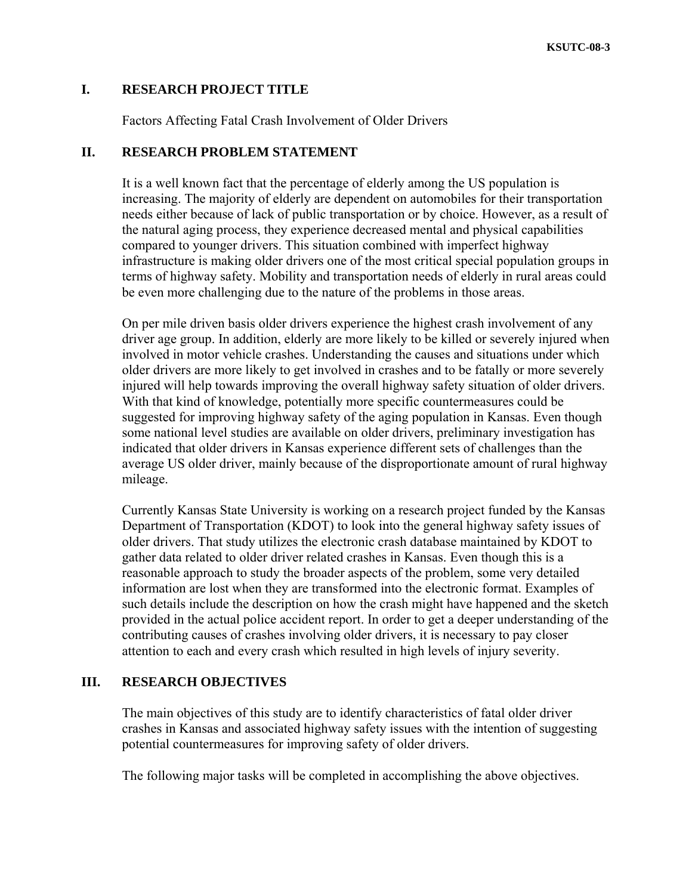# **I. RESEARCH PROJECT TITLE**

Factors Affecting Fatal Crash Involvement of Older Drivers

# **II. RESEARCH PROBLEM STATEMENT**

It is a well known fact that the percentage of elderly among the US population is increasing. The majority of elderly are dependent on automobiles for their transportation needs either because of lack of public transportation or by choice. However, as a result of the natural aging process, they experience decreased mental and physical capabilities compared to younger drivers. This situation combined with imperfect highway infrastructure is making older drivers one of the most critical special population groups in terms of highway safety. Mobility and transportation needs of elderly in rural areas could be even more challenging due to the nature of the problems in those areas.

On per mile driven basis older drivers experience the highest crash involvement of any driver age group. In addition, elderly are more likely to be killed or severely injured when involved in motor vehicle crashes. Understanding the causes and situations under which older drivers are more likely to get involved in crashes and to be fatally or more severely injured will help towards improving the overall highway safety situation of older drivers. With that kind of knowledge, potentially more specific countermeasures could be suggested for improving highway safety of the aging population in Kansas. Even though some national level studies are available on older drivers, preliminary investigation has indicated that older drivers in Kansas experience different sets of challenges than the average US older driver, mainly because of the disproportionate amount of rural highway mileage.

Currently Kansas State University is working on a research project funded by the Kansas Department of Transportation (KDOT) to look into the general highway safety issues of older drivers. That study utilizes the electronic crash database maintained by KDOT to gather data related to older driver related crashes in Kansas. Even though this is a reasonable approach to study the broader aspects of the problem, some very detailed information are lost when they are transformed into the electronic format. Examples of such details include the description on how the crash might have happened and the sketch provided in the actual police accident report. In order to get a deeper understanding of the contributing causes of crashes involving older drivers, it is necessary to pay closer attention to each and every crash which resulted in high levels of injury severity.

# **III. RESEARCH OBJECTIVES**

The main objectives of this study are to identify characteristics of fatal older driver crashes in Kansas and associated highway safety issues with the intention of suggesting potential countermeasures for improving safety of older drivers.

The following major tasks will be completed in accomplishing the above objectives.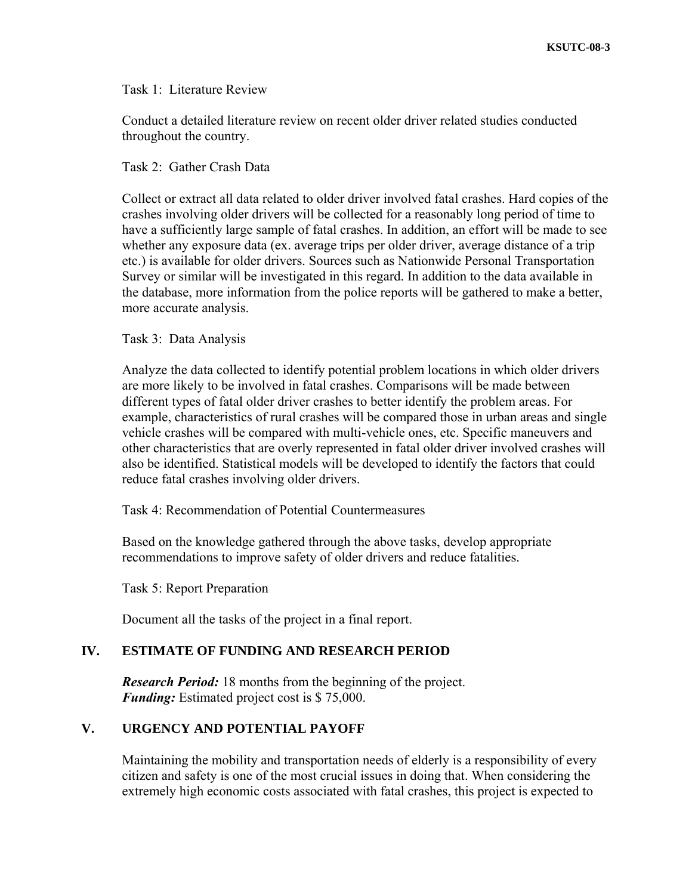## Task 1: Literature Review

Conduct a detailed literature review on recent older driver related studies conducted throughout the country.

## Task 2: Gather Crash Data

Collect or extract all data related to older driver involved fatal crashes. Hard copies of the crashes involving older drivers will be collected for a reasonably long period of time to have a sufficiently large sample of fatal crashes. In addition, an effort will be made to see whether any exposure data (ex. average trips per older driver, average distance of a trip etc.) is available for older drivers. Sources such as Nationwide Personal Transportation Survey or similar will be investigated in this regard. In addition to the data available in the database, more information from the police reports will be gathered to make a better, more accurate analysis.

## Task 3: Data Analysis

Analyze the data collected to identify potential problem locations in which older drivers are more likely to be involved in fatal crashes. Comparisons will be made between different types of fatal older driver crashes to better identify the problem areas. For example, characteristics of rural crashes will be compared those in urban areas and single vehicle crashes will be compared with multi-vehicle ones, etc. Specific maneuvers and other characteristics that are overly represented in fatal older driver involved crashes will also be identified. Statistical models will be developed to identify the factors that could reduce fatal crashes involving older drivers.

Task 4: Recommendation of Potential Countermeasures

Based on the knowledge gathered through the above tasks, develop appropriate recommendations to improve safety of older drivers and reduce fatalities.

Task 5: Report Preparation

Document all the tasks of the project in a final report.

## **IV. ESTIMATE OF FUNDING AND RESEARCH PERIOD**

*Research Period:* 18 months from the beginning of the project. *Funding:* Estimated project cost is \$ 75,000.

# **V. URGENCY AND POTENTIAL PAYOFF**

Maintaining the mobility and transportation needs of elderly is a responsibility of every citizen and safety is one of the most crucial issues in doing that. When considering the extremely high economic costs associated with fatal crashes, this project is expected to